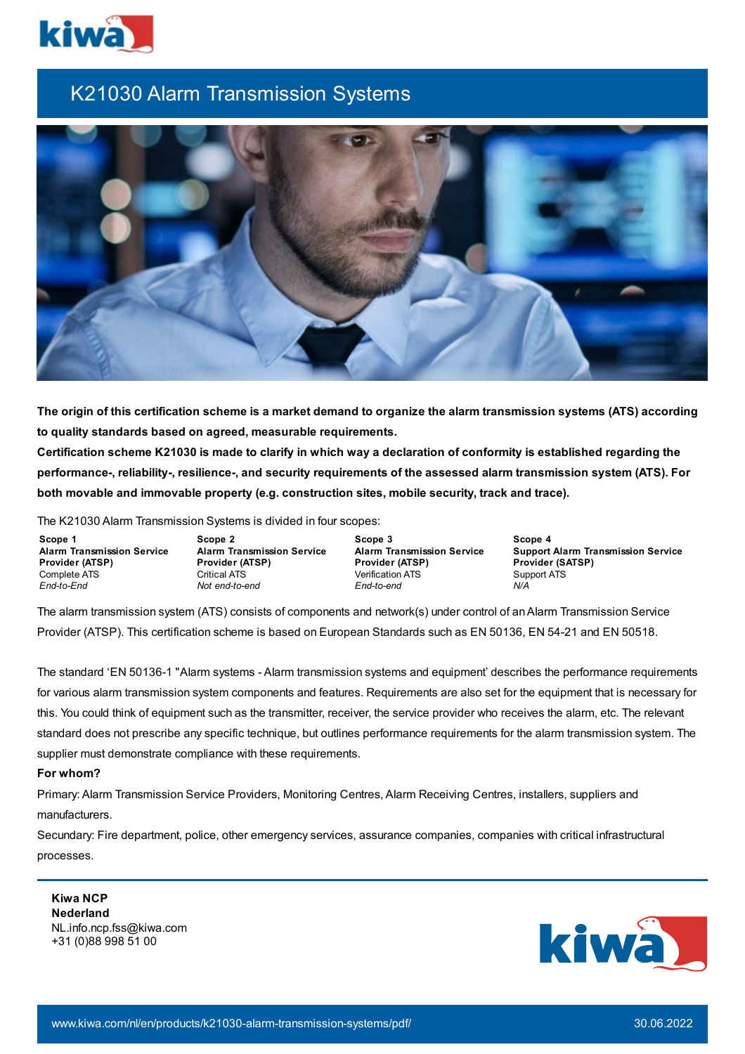

# K21030 Alarm Transmission Systems



The origin of this certification scheme is a market demand to organize the alarm transmission systems (ATS) according **to quality standards based on agreed, measurable requirements.** Certification scheme K21030 is made to clarify in which way a declaration of conformity is established regarding the **performance-, reliability-, resilience-, and security requirements of the assessed alarm transmission system (ATS). For both movable and immovable property (e.g. construction sites, mobile security, track and trace).**

The K21030 Alarm Transmission Systems is divided in four scopes:

**Scope 1 Alarm Transmission Service Provider (ATSP)** Complete ATS *End-to-End*

**Scope 2 Alarm Transmission Service Provider (ATSP)** Critical ATS *Not end-to-end*

**Scope 3 Alarm Transmission Service Provider (ATSP)** Verification ATS *End-to-end*

**Scope 4 Support Alarm Transmission Service Provider (SATSP)** Support ATS *N/A*

The alarm transmission system (ATS) consists of components and network(s) under control of an Alarm Transmission Service Provider (ATSP). This certification scheme is based on European Standards such as EN 50136, EN 54-21 and EN 50518.

The standard 'EN 50136-1 "Alarm systems - Alarm transmission systems and equipment' describes the performance requirements for various alarm transmission system components and features. Requirements are also set for the equipment that is necessary for this. You could think of equipment such as the transmitter, receiver, the service provider who receives the alarm, etc. The relevant standard does not prescribe any specific technique, but outlines performance requirements for the alarm transmission system. The supplier must demonstrate compliance with these requirements.

## **For whom?**

Primary: Alarm Transmission Service Providers, Monitoring Centres, Alarm Receiving Centres, installers, suppliers and manufacturers.

Secundary: Fire department, police, other emergency services, assurance companies, companies with critical infrastructural processes.

**Kiwa NCP Nederland** NL.info.ncp.fss@kiwa.com +31 (0)88 998 51 00